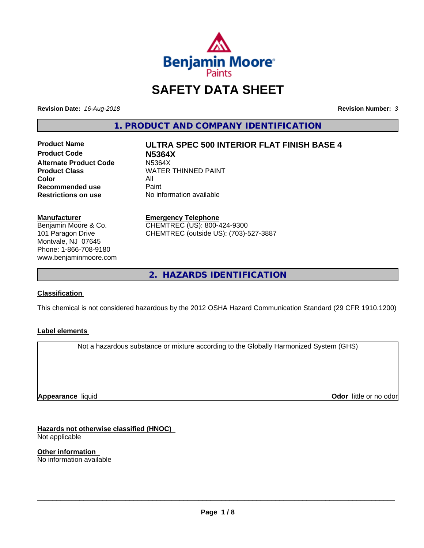

# **SAFETY DATA SHEET**

**Revision Date:** *16-Aug-2018* **Revision Number:** *3*

**1. PRODUCT AND COMPANY IDENTIFICATION**

**Product Code N5364X Alternate Product Code M5364X**<br>Product Class WATER **Color** All<br> **Recommended use** Paint **Recommended use**<br>Restrictions on use

**Product Name ULTRA SPEC 500 INTERIOR FLAT FINISH BASE 4**

**WATER THINNED PAINT No information available** 

#### **Manufacturer**

Benjamin Moore & Co. 101 Paragon Drive Montvale, NJ 07645 Phone: 1-866-708-9180 www.benjaminmoore.com

#### **Emergency Telephone**

CHEMTREC (US): 800-424-9300 CHEMTREC (outside US): (703)-527-3887

**2. HAZARDS IDENTIFICATION**

#### **Classification**

This chemical is not considered hazardous by the 2012 OSHA Hazard Communication Standard (29 CFR 1910.1200)

#### **Label elements**

Not a hazardous substance or mixture according to the Globally Harmonized System (GHS)

**Appearance** liquid

**Odor** little or no odor

**Hazards not otherwise classified (HNOC)** Not applicable

**Other information** No information available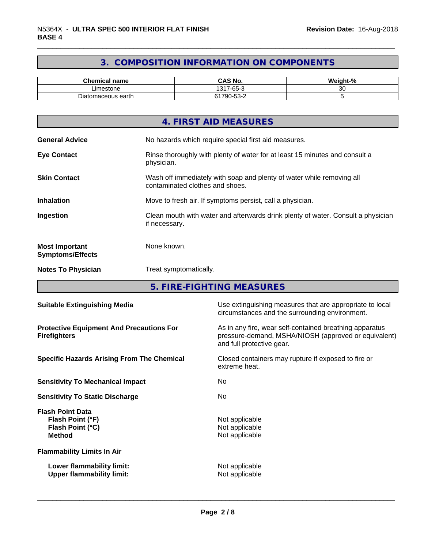# **3. COMPOSITION INFORMATION ON COMPONENTS**

| <b>Chemical name</b>     | <b>CAS No.</b>                    | о.<br><br>Neight-"<br>- 70 |
|--------------------------|-----------------------------------|----------------------------|
| Limestone                | .-65-1<br>1317<br>$\sim$          | ~~<br>ີ                    |
| tomaceous earth<br>Diato | $\sim$ $\sim$<br>1790<br>_∠-ככ-יי |                            |

|                                                  | 4. FIRST AID MEASURES                                                                                    |
|--------------------------------------------------|----------------------------------------------------------------------------------------------------------|
| <b>General Advice</b>                            | No hazards which require special first aid measures.                                                     |
| <b>Eye Contact</b>                               | Rinse thoroughly with plenty of water for at least 15 minutes and consult a<br>physician.                |
| <b>Skin Contact</b>                              | Wash off immediately with soap and plenty of water while removing all<br>contaminated clothes and shoes. |
| <b>Inhalation</b>                                | Move to fresh air. If symptoms persist, call a physician.                                                |
| Ingestion                                        | Clean mouth with water and afterwards drink plenty of water. Consult a physician<br>if necessary.        |
| <b>Most Important</b><br><b>Symptoms/Effects</b> | None known.                                                                                              |
| <b>Notes To Physician</b>                        | Treat symptomatically.                                                                                   |
|                                                  |                                                                                                          |

**5. FIRE-FIGHTING MEASURES**

| <b>Suitable Extinguishing Media</b>                                              | Use extinguishing measures that are appropriate to local<br>circumstances and the surrounding environment.                                   |  |
|----------------------------------------------------------------------------------|----------------------------------------------------------------------------------------------------------------------------------------------|--|
| <b>Protective Equipment And Precautions For</b><br><b>Firefighters</b>           | As in any fire, wear self-contained breathing apparatus<br>pressure-demand, MSHA/NIOSH (approved or equivalent)<br>and full protective gear. |  |
| <b>Specific Hazards Arising From The Chemical</b>                                | Closed containers may rupture if exposed to fire or<br>extreme heat.                                                                         |  |
| <b>Sensitivity To Mechanical Impact</b>                                          | No.                                                                                                                                          |  |
| <b>Sensitivity To Static Discharge</b>                                           | No.                                                                                                                                          |  |
| <b>Flash Point Data</b><br>Flash Point (°F)<br>Flash Point (°C)<br><b>Method</b> | Not applicable<br>Not applicable<br>Not applicable                                                                                           |  |
| <b>Flammability Limits In Air</b>                                                |                                                                                                                                              |  |
| Lower flammability limit:<br><b>Upper flammability limit:</b>                    | Not applicable<br>Not applicable                                                                                                             |  |
|                                                                                  |                                                                                                                                              |  |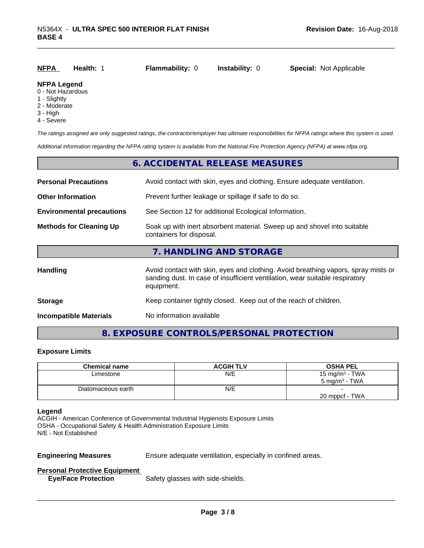| <u>NFPA</u>        | Health: 1 | <b>Flammability: 0</b> | <b>Instability: 0</b> | <b>Special: Not Applicable</b> |
|--------------------|-----------|------------------------|-----------------------|--------------------------------|
| <b>NFPA Legend</b> |           |                        |                       |                                |

#### 0 - Not Hazardous

- 1 Slightly
- 2 Moderate
- 3 High
- 4 Severe

*The ratings assigned are only suggested ratings, the contractor/employer has ultimate responsibilities for NFPA ratings where this system is used.*

*Additional information regarding the NFPA rating system is available from the National Fire Protection Agency (NFPA) at www.nfpa.org.*

#### **6. ACCIDENTAL RELEASE MEASURES**

| <b>Personal Precautions</b>      | Avoid contact with skin, eyes and clothing. Ensure adequate ventilation.                                                                                                         |  |  |
|----------------------------------|----------------------------------------------------------------------------------------------------------------------------------------------------------------------------------|--|--|
| <b>Other Information</b>         | Prevent further leakage or spillage if safe to do so.                                                                                                                            |  |  |
| <b>Environmental precautions</b> | See Section 12 for additional Ecological Information.                                                                                                                            |  |  |
| <b>Methods for Cleaning Up</b>   | Soak up with inert absorbent material. Sweep up and shovel into suitable<br>containers for disposal.                                                                             |  |  |
|                                  | 7. HANDLING AND STORAGE                                                                                                                                                          |  |  |
| <b>Handling</b>                  | Avoid contact with skin, eyes and clothing. Avoid breathing vapors, spray mists or<br>sanding dust. In case of insufficient ventilation, wear suitable respiratory<br>equipment. |  |  |
| <b>Storage</b>                   | Keep container tightly closed. Keep out of the reach of children.                                                                                                                |  |  |
| <b>Incompatible Materials</b>    | No information available                                                                                                                                                         |  |  |

### **8. EXPOSURE CONTROLS/PERSONAL PROTECTION**

#### **Exposure Limits**

| <b>Chemical name</b> | <b>ACGIH TLV</b> | <b>OSHA PEL</b>          |
|----------------------|------------------|--------------------------|
| Limestone            | N/E              | 15 mg/m $3$ - TWA        |
|                      |                  | $5 \text{ mg/m}^3$ - TWA |
| Diatomaceous earth   | N/E              |                          |
|                      |                  | 20 mppcf - TWA           |

#### **Legend**

ACGIH - American Conference of Governmental Industrial Hygienists Exposure Limits OSHA - Occupational Safety & Health Administration Exposure Limits N/E - Not Established

**Engineering Measures** Ensure adequate ventilation, especially in confined areas.

 $\overline{\phantom{a}}$  ,  $\overline{\phantom{a}}$  ,  $\overline{\phantom{a}}$  ,  $\overline{\phantom{a}}$  ,  $\overline{\phantom{a}}$  ,  $\overline{\phantom{a}}$  ,  $\overline{\phantom{a}}$  ,  $\overline{\phantom{a}}$  ,  $\overline{\phantom{a}}$  ,  $\overline{\phantom{a}}$  ,  $\overline{\phantom{a}}$  ,  $\overline{\phantom{a}}$  ,  $\overline{\phantom{a}}$  ,  $\overline{\phantom{a}}$  ,  $\overline{\phantom{a}}$  ,  $\overline{\phantom{a}}$ 

#### **Personal Protective Equipment**

**Eye/Face Protection** Safety glasses with side-shields.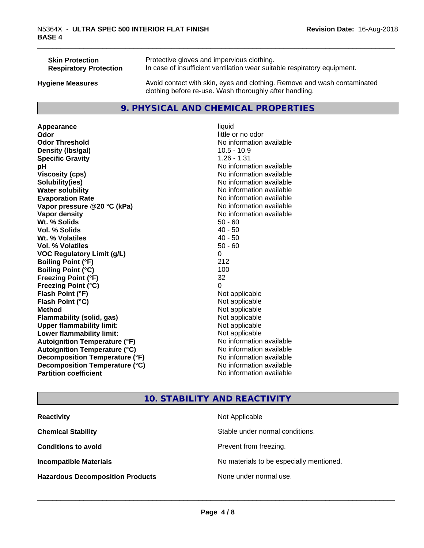| <b>Skin Protection</b>        | Protective gloves and impervious clothing.                                                                                          |
|-------------------------------|-------------------------------------------------------------------------------------------------------------------------------------|
| <b>Respiratory Protection</b> | In case of insufficient ventilation wear suitable respiratory equipment.                                                            |
| <b>Hygiene Measures</b>       | Avoid contact with skin, eyes and clothing. Remove and wash contaminated<br>clothing before re-use. Wash thoroughly after handling. |

#### **9. PHYSICAL AND CHEMICAL PROPERTIES**

**Appearance** liquid **Odor** little or no odor **Odor Threshold** No information available **Density (lbs/gal)** 10.5 - 10.9 **Specific Gravity** 1.26 - 1.31 **pH** No information available **Viscosity (cps)** No information available **Solubility(ies)** No information available **Water solubility** No information available **Evaporation Rate No information available No information available Vapor pressure @20 °C (kPa)** No information available **Vapor density No information available No information available Wt. % Solids** 50 - 60<br> **Vol. % Solids** 50 - 60<br> **Vol. % Solids** 50 **Vol. % Solids W<sub>t.</sub>** % Volatiles 40 - 50 **Vol. % Volatiles** 50 - 60 **VOC Regulatory Limit (g/L)** 0 **Boiling Point (°F)** 212 **Boiling Point**  $(^{\circ}C)$  100 **Freezing Point (°F)** 32 **Freezing Point (°C)** 0 **Flash Point (°F)** Not applicable **Flash Point (°C)** Not applicable **Method** Not applicable<br> **Flammability (solid, gas)** Not applicable Not applicable **Flammability** (solid, gas) **Upper flammability limit:**<br> **Lower flammability limit:** Not applicable Not applicable **Lower flammability limit:**<br> **Autoignition Temperature (°F)** Not applicable havailable **Autoignition Temperature (°F) Autoignition Temperature (°C)** No information available **Decomposition Temperature (°F)** No information available **Decomposition Temperature (°C)**<br> **Partition coefficient**<br> **Partition coefficient**<br> **No** information available

**No information available** 

# **10. STABILITY AND REACTIVITY**

| <b>Reactivity</b>                       | Not Applicable                           |
|-----------------------------------------|------------------------------------------|
| <b>Chemical Stability</b>               | Stable under normal conditions.          |
| <b>Conditions to avoid</b>              | Prevent from freezing.                   |
| <b>Incompatible Materials</b>           | No materials to be especially mentioned. |
| <b>Hazardous Decomposition Products</b> | None under normal use.                   |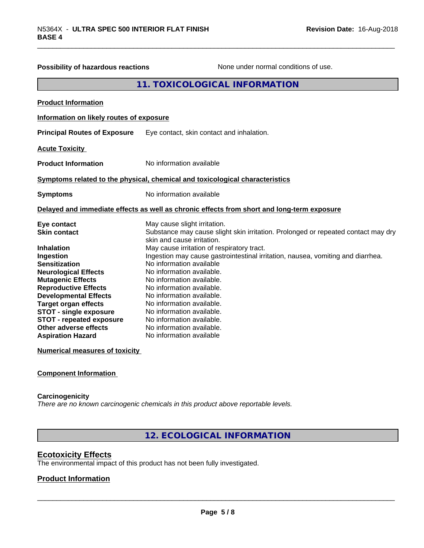| <b>Possibility of hazardous reactions</b>                                                       | None under normal conditions of use.                                                                                                            |
|-------------------------------------------------------------------------------------------------|-------------------------------------------------------------------------------------------------------------------------------------------------|
|                                                                                                 | 11. TOXICOLOGICAL INFORMATION                                                                                                                   |
| <b>Product Information</b>                                                                      |                                                                                                                                                 |
| Information on likely routes of exposure                                                        |                                                                                                                                                 |
| <b>Principal Routes of Exposure</b>                                                             | Eye contact, skin contact and inhalation.                                                                                                       |
| <b>Acute Toxicity</b>                                                                           |                                                                                                                                                 |
| <b>Product Information</b>                                                                      | No information available                                                                                                                        |
|                                                                                                 | Symptoms related to the physical, chemical and toxicological characteristics                                                                    |
| <b>Symptoms</b>                                                                                 | No information available                                                                                                                        |
|                                                                                                 | Delayed and immediate effects as well as chronic effects from short and long-term exposure                                                      |
| Eye contact<br><b>Skin contact</b>                                                              | May cause slight irritation.<br>Substance may cause slight skin irritation. Prolonged or repeated contact may dry<br>skin and cause irritation. |
| <b>Inhalation</b><br>Ingestion                                                                  | May cause irritation of respiratory tract.<br>Ingestion may cause gastrointestinal irritation, nausea, vomiting and diarrhea.                   |
| <b>Sensitization</b><br><b>Neurological Effects</b><br><b>Mutagenic Effects</b>                 | No information available<br>No information available.<br>No information available.                                                              |
| <b>Reproductive Effects</b><br><b>Developmental Effects</b>                                     | No information available.<br>No information available.                                                                                          |
| <b>Target organ effects</b><br><b>STOT - single exposure</b><br><b>STOT - repeated exposure</b> | No information available.<br>No information available.<br>No information available.                                                             |
| Other adverse effects<br><b>Aspiration Hazard</b>                                               | No information available.<br>No information available                                                                                           |
| <b>Numerical measures of toxicity</b>                                                           |                                                                                                                                                 |

#### **Component Information**

#### **Carcinogenicity**

*There are no known carcinogenic chemicals in this product above reportable levels.*

**12. ECOLOGICAL INFORMATION**

# **Ecotoxicity Effects**

The environmental impact of this product has not been fully investigated.

#### **Product Information**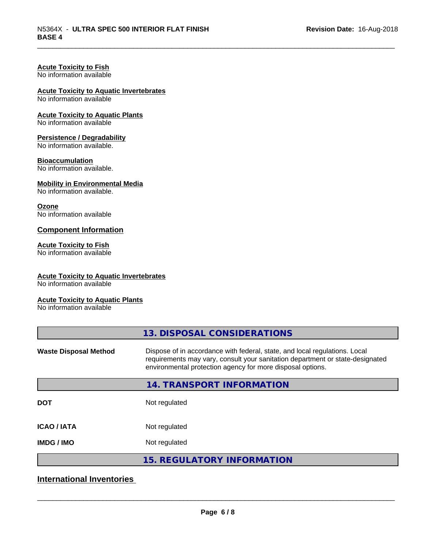# **Acute Toxicity to Fish**

No information available

# **Acute Toxicity to Aquatic Invertebrates**

No information available

#### **Acute Toxicity to Aquatic Plants**

No information available

#### **Persistence / Degradability**

No information available.

#### **Bioaccumulation**

No information available.

#### **Mobility in Environmental Media**

No information available.

#### **Ozone**

No information available

#### **Component Information**

#### **Acute Toxicity to Fish**

No information available

#### **Acute Toxicity to Aquatic Invertebrates**

No information available

#### **Acute Toxicity to Aquatic Plants**

No information available

|                              | 13. DISPOSAL CONSIDERATIONS                                                                                                                                                                                               |
|------------------------------|---------------------------------------------------------------------------------------------------------------------------------------------------------------------------------------------------------------------------|
| <b>Waste Disposal Method</b> | Dispose of in accordance with federal, state, and local regulations. Local<br>requirements may vary, consult your sanitation department or state-designated<br>environmental protection agency for more disposal options. |
|                              | 14. TRANSPORT INFORMATION                                                                                                                                                                                                 |
| <b>DOT</b>                   | Not regulated                                                                                                                                                                                                             |
| <b>ICAO/IATA</b>             | Not regulated                                                                                                                                                                                                             |
| <b>IMDG/IMO</b>              | Not regulated                                                                                                                                                                                                             |
|                              | <b>15. REGULATORY INFORMATION</b>                                                                                                                                                                                         |

# **International Inventories**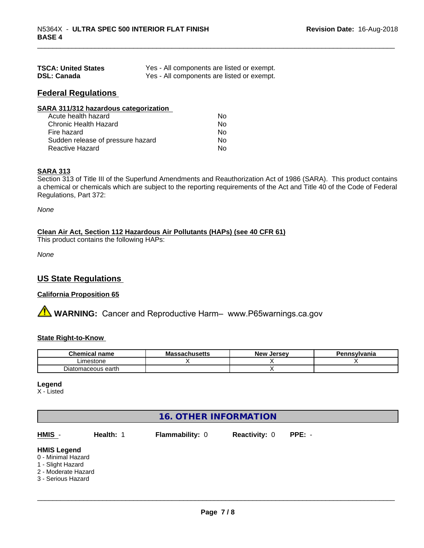| <b>TSCA: United States</b> | Yes - All components are listed or exempt. |
|----------------------------|--------------------------------------------|
| <b>DSL: Canada</b>         | Yes - All components are listed or exempt. |

# **Federal Regulations**

| SARA 311/312 hazardous categorization |    |  |
|---------------------------------------|----|--|
| Acute health hazard                   | Nο |  |
| Chronic Health Hazard                 | No |  |
| Fire hazard                           | No |  |
| Sudden release of pressure hazard     | Nο |  |
| <b>Reactive Hazard</b>                | No |  |

#### **SARA 313**

Section 313 of Title III of the Superfund Amendments and Reauthorization Act of 1986 (SARA). This product contains a chemical or chemicals which are subject to the reporting requirements of the Act and Title 40 of the Code of Federal Regulations, Part 372:

*None*

#### **Clean Air Act,Section 112 Hazardous Air Pollutants (HAPs) (see 40 CFR 61)**

This product contains the following HAPs:

*None*

## **US State Regulations**

#### **California Proposition 65**

**AVIMARNING:** Cancer and Reproductive Harm– www.P65warnings.ca.gov

#### **State Right-to-Know**

| М.<br>hemical name<br>.  | $\cdots$<br>ma<br><b>3971199611</b> | . Jersev<br><b>Nev</b> | Pennsvlvania |
|--------------------------|-------------------------------------|------------------------|--------------|
| Limestone                |                                     |                        |              |
| tomaceous earth.<br>'⊔at |                                     |                        |              |

#### **Legend**

X - Listed

| <b>16. OTHER INFORMATION</b>                                                                               |           |                        |                      |          |  |  |
|------------------------------------------------------------------------------------------------------------|-----------|------------------------|----------------------|----------|--|--|
| HMIS -                                                                                                     | Health: 1 | <b>Flammability: 0</b> | <b>Reactivity: 0</b> | $PPE: -$ |  |  |
| <b>HMIS Legend</b><br>0 - Minimal Hazard<br>1 - Slight Hazard<br>2 - Moderate Hazard<br>3 - Serious Hazard |           |                        |                      |          |  |  |